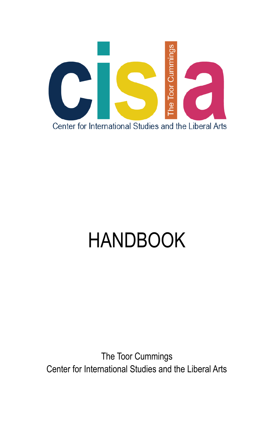

# HANDBOOK

The Toor Cummings Center for International Studies and the Liberal Arts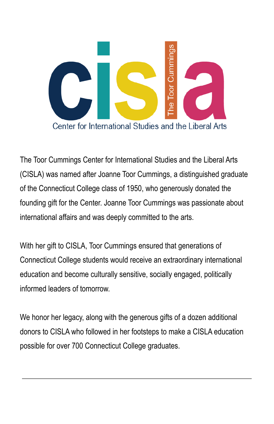

The Toor Cummings Center for International Studies and the Liberal Arts (CISLA) was named after Joanne Toor Cummings, a distinguished graduate of the Connecticut College class of 1950, who generously donated the founding gift for the Center. Joanne Toor Cummings was passionate about international affairs and was deeply committed to the arts.

With her gift to CISLA, Toor Cummings ensured that generations of Connecticut College students would receive an extraordinary international education and become culturally sensitive, socially engaged, politically informed leaders of tomorrow.

We honor her legacy, along with the generous gifts of a dozen additional donors to CISLA who followed in her footsteps to make a CISLA education possible for over 700 Connecticut College graduates.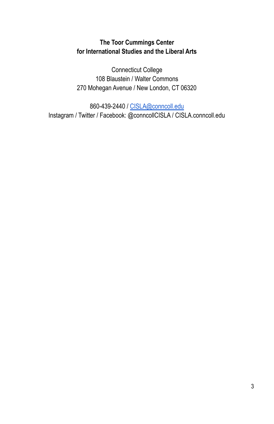### **The Toor Cummings Center for International Studies and the Liberal Arts**

Connecticut College 108 Blaustein / Walter Commons 270 Mohegan Avenue / New London, CT 06320

860-439-2440 / [CISLA@conncoll.edu](mailto:CISLA@conncoll.edu) Instagram / Twitter / Facebook: @conncollCISLA / CISLA.conncoll.edu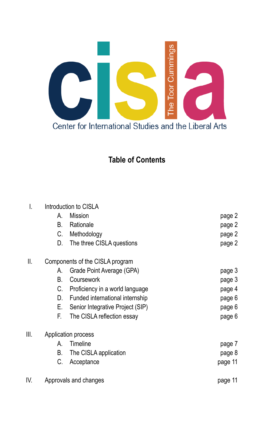

## **Table of Contents**

| I.   | Introduction to CISLA           |                                  |         |
|------|---------------------------------|----------------------------------|---------|
|      | А.                              | Mission                          | page 2  |
|      | В.                              | Rationale                        | page 2  |
|      | C.                              | Methodology                      | page 2  |
|      | D.                              | The three CISLA questions        | page 2  |
| II.  | Components of the CISLA program |                                  |         |
|      | А.                              | Grade Point Average (GPA)        | page 3  |
|      | В.                              | Coursework                       | page 3  |
|      | C.                              | Proficiency in a world language  | page 4  |
|      | D.                              | Funded international internship  | page 6  |
|      | Е.                              | Senior Integrative Project (SIP) | page 6  |
|      | F.                              | The CISLA reflection essay       | page 6  |
| III. | Application process             |                                  |         |
|      | А.                              | Timeline                         | page 7  |
|      | В.                              | The CISLA application            | page 8  |
|      | С.                              | Acceptance                       | page 11 |
|      |                                 |                                  |         |

IV. Approvals and changes **page 11** and set of the set of the page 11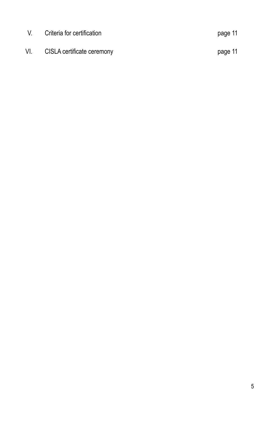| V.  | Criteria for certification |         |
|-----|----------------------------|---------|
| VI. | CISLA certificate ceremony | page 11 |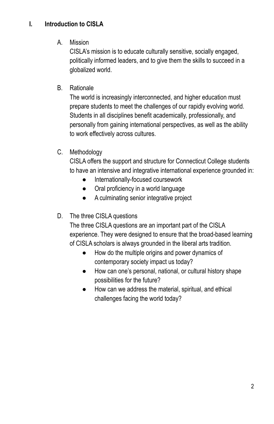#### **I. Introduction to CISLA**

#### A. Mission

CISLA's mission is to educate culturally sensitive, socially engaged, politically informed leaders, and to give them the skills to succeed in a globalized world.

#### B. Rationale

The world is increasingly interconnected, and higher education must prepare students to meet the challenges of our rapidly evolving world. Students in all disciplines benefit academically, professionally, and personally from gaining international perspectives, as well as the ability to work effectively across cultures.

#### C. Methodology

CISLA offers the support and structure for Connecticut College students to have an intensive and integrative international experience grounded in:

- Internationally-focused coursework
- Oral proficiency in a world language
- A culminating senior integrative project

#### D. The three CISLA questions

The three CISLA questions are an important part of the CISLA experience. They were designed to ensure that the broad-based learning of CISLA scholars is always grounded in the liberal arts tradition.

- How do the multiple origins and power dynamics of contemporary society impact us today?
- How can one's personal, national, or cultural history shape possibilities for the future?
- How can we address the material, spiritual, and ethical challenges facing the world today?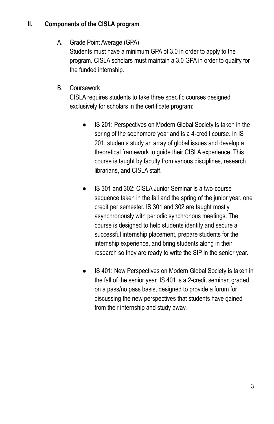#### **II. Components of the CISLA program**

A. Grade Point Average (GPA)

Students must have a minimum GPA of 3.0 in order to apply to the program. CISLA scholars must maintain a 3.0 GPA in order to qualify for the funded internship.

B. Coursework

CISLA requires students to take three specific courses designed exclusively for scholars in the certificate program:

- IS 201: Perspectives on Modern Global Society is taken in the spring of the sophomore year and is a 4-credit course. In IS 201, students study an array of global issues and develop a theoretical framework to guide their CISLA experience. This course is taught by faculty from various disciplines, research librarians, and CISLA staff.
- IS 301 and 302: CISLA Junior Seminar is a two-course sequence taken in the fall and the spring of the junior year, one credit per semester. IS 301 and 302 are taught mostly asynchronously with periodic synchronous meetings. The course is designed to help students identify and secure a successful internship placement, prepare students for the internship experience, and bring students along in their research so they are ready to write the SIP in the senior year.
- IS 401: New Perspectives on Modern Global Society is taken in the fall of the senior year. IS 401 is a 2-credit seminar, graded on a pass/no pass basis, designed to provide a forum for discussing the new perspectives that students have gained from their internship and study away.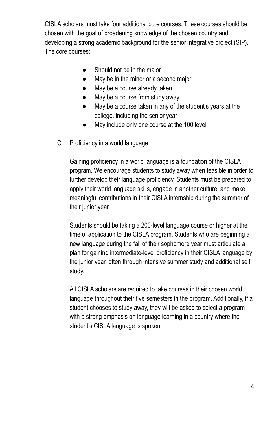CISLA scholars must take four additional core courses. These courses should be chosen with the goal of broadening knowledge of the chosen country and developing a strong academic background for the senior integrative project (SIP). The core courses:

- Should not be in the major
- May be in the minor or a second major
- May be a course already taken
- May be a course from study away
- May be a course taken in any of the student's years at the college, including the senior year
- May include only one course at the 100 level
- C. Proficiency in a world language

Gaining proficiency in a world language is a foundation of the CISLA program. We encourage students to study away when feasible in order to further develop their language proficiency. Students must be prepared to apply their world language skills, engage in another culture, and make meaningful contributions in their CISLA internship during the summer of their junior year.

Students should be taking a 200-level language course or higher at the time of application to the CISLA program. Students who are beginning a new language during the fall of their sophomore year must articulate a plan for gaining intermediate-level proficiency in their CISLA language by the junior year, often through intensive summer study and additional self study.

All CISLA scholars are required to take courses in their chosen world language throughout their five semesters in the program. Additionally, if a student chooses to study away, they will be asked to select a program with a strong emphasis on language learning in a country where the student's CISLA language is spoken.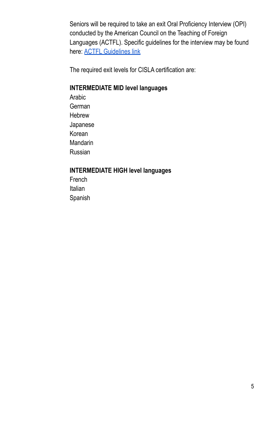Seniors will be required to take an exit Oral Proficiency Interview (OPI) conducted by the American Council on the Teaching of Foreign Languages (ACTFL). Specific guidelines for the interview may be found here: ACTFL [Guidelines](https://www.actfl.org/assessment-research-and-development/actfl-assessments/actfl-postsecondary-assessments/oral-proficiency-interview-opi) link

The required exit levels for CISLA certification are:

## **INTERMEDIATE MID level languages**

Arabic German Hebrew Japanese Korean Mandarin Russian

#### **INTERMEDIATE HIGH level languages**

**French** Italian Spanish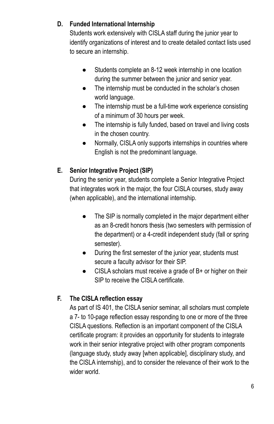### **D. Funded International Internship**

Students work extensively with CISLA staff during the junior year to identify organizations of interest and to create detailed contact lists used to secure an internship.

- Students complete an 8-12 week internship in one location during the summer between the junior and senior year.
- The internship must be conducted in the scholar's chosen world language.
- The internship must be a full-time work experience consisting of a minimum of 30 hours per week.
- The internship is fully funded, based on travel and living costs in the chosen country.
- Normally, CISLA only supports internships in countries where English is not the predominant language.

## **E. Senior Integrative Project (SIP)**

During the senior year, students complete a Senior Integrative Project that integrates work in the major, the four CISLA courses, study away (when applicable), and the international internship.

- The SIP is normally completed in the major department either as an 8-credit honors thesis (two semesters with permission of the department) or a 4-credit independent study (fall or spring semester).
- During the first semester of the junior year, students must secure a faculty advisor for their SIP.
- CISLA scholars must receive a grade of B+ or higher on their SIP to receive the CISLA certificate.

## **F. The CISLA reflection essay**

As part of IS 401, the CISLA senior seminar, all scholars must complete a 7- to 10-page reflection essay responding to one or more of the three CISLA questions. Reflection is an important component of the CISLA certificate program: it provides an opportunity for students to integrate work in their senior integrative project with other program components (language study, study away [when applicable], disciplinary study, and the CISLA internship), and to consider the relevance of their work to the wider world.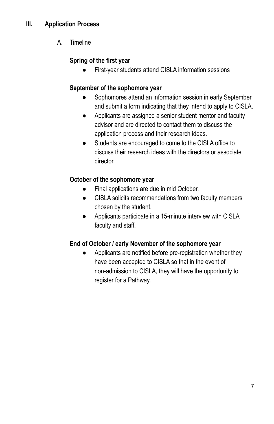A. Timeline

## **Spring of the first year**

First-year students attend CISLA information sessions

## **September of the sophomore year**

- Sophomores attend an information session in early September and submit a form indicating that they intend to apply to CISLA.
- Applicants are assigned a senior student mentor and faculty advisor and are directed to contact them to discuss the application process and their research ideas.
- Students are encouraged to come to the CISLA office to discuss their research ideas with the directors or associate director.

## **October of the sophomore year**

- Final applications are due in mid October.
- CISLA solicits recommendations from two faculty members chosen by the student.
- Applicants participate in a 15-minute interview with CISLA faculty and staff.

## **End of October / early November of the sophomore year**

Applicants are notified before pre-registration whether they have been accepted to CISLA so that in the event of non-admission to CISLA, they will have the opportunity to register for a Pathway.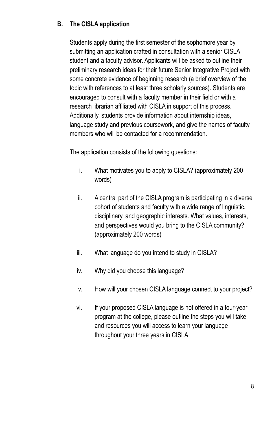#### **B. The CISLA application**

Students apply during the first semester of the sophomore year by submitting an application crafted in consultation with a senior CISLA student and a faculty advisor. Applicants will be asked to outline their preliminary research ideas for their future Senior Integrative Project with some concrete evidence of beginning research (a brief overview of the topic with references to at least three scholarly sources). Students are encouraged to consult with a faculty member in their field or with a research librarian affiliated with CISLA in support of this process. Additionally, students provide information about internship ideas, language study and previous coursework, and give the names of faculty members who will be contacted for a recommendation.

The application consists of the following questions:

- i. What motivates you to apply to CISLA? (approximately 200 words)
- ii. A central part of the CISLA program is participating in a diverse cohort of students and faculty with a wide range of linguistic, disciplinary, and geographic interests. What values, interests, and perspectives would you bring to the CISLA community? (approximately 200 words)
- iii. What language do you intend to study in CISLA?
- iv. Why did you choose this language?
- v. How will your chosen CISLA language connect to your project?
- vi. If your proposed CISLA language is not offered in a four-year program at the college, please outline the steps you will take and resources you will access to learn your language throughout your three years in CISLA.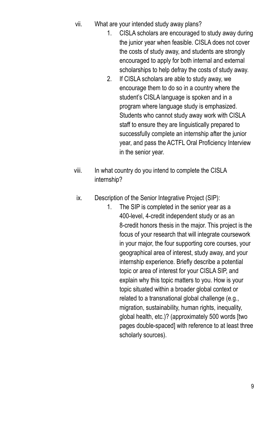- vii. What are your intended study away plans?
	- 1. CISLA scholars are encouraged to study away during the junior year when feasible. CISLA does not cover the costs of study away, and students are strongly encouraged to apply for both internal and external scholarships to help defray the costs of study away.
	- 2. If CISLA scholars are able to study away, we encourage them to do so in a country where the student's CISLA language is spoken and in a program where language study is emphasized. Students who cannot study away work with CISLA staff to ensure they are linguistically prepared to successfully complete an internship after the junior year, and pass the ACTFL Oral Proficiency Interview in the senior year.
- viii. In what country do you intend to complete the CISLA internship?
- ix. Description of the Senior Integrative Project (SIP):
	- 1. The SIP is completed in the senior year as a 400-level, 4-credit independent study or as an 8-credit honors thesis in the major. This project is the focus of your research that will integrate coursework in your major, the four supporting core courses, your geographical area of interest, study away, and your internship experience. Briefly describe a potential topic or area of interest for your CISLA SIP, and explain why this topic matters to you. How is your topic situated within a broader global context or related to a transnational global challenge (e.g., migration, sustainability, human rights, inequality, global health, etc.)? (approximately 500 words [two pages double-spaced] with reference to at least three scholarly sources).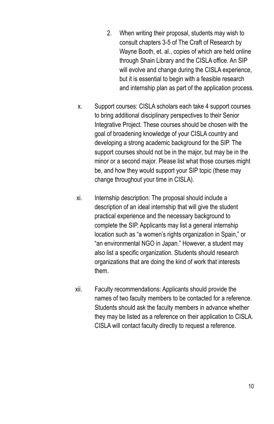- 2. When writing their proposal, students may wish to consult chapters 3-5 of The Craft of Research by Wayne Booth, et. al., copies of which are held online through Shain Library and the CISLA office. An SIP will evolve and change during the CISLA experience, but it is essential to begin with a feasible research and internship plan as part of the application process.
- x. Support courses: CISLA scholars each take 4 support courses to bring additional disciplinary perspectives to their Senior Integrative Project. These courses should be chosen with the goal of broadening knowledge of your CISLA country and developing a strong academic background for the SIP. The support courses should not be in the major, but may be in the minor or a second major. Please list what those courses might be, and how they would support your SIP topic (these may change throughout your time in CISLA).
- xi. Internship description: The proposal should include a description of an ideal internship that will give the student practical experience and the necessary background to complete the SIP. Applicants may list a general internship location such as "a women's rights organization in Spain," or "an environmental NGO in Japan." However, a student may also list a specific organization. Students should research organizations that are doing the kind of work that interests them.
- xii. Faculty recommendations: Applicants should provide the names of two faculty members to be contacted for a reference. Students should ask the faculty members in advance whether they may be listed as a reference on their application to CISLA. CISLA will contact faculty directly to request a reference.